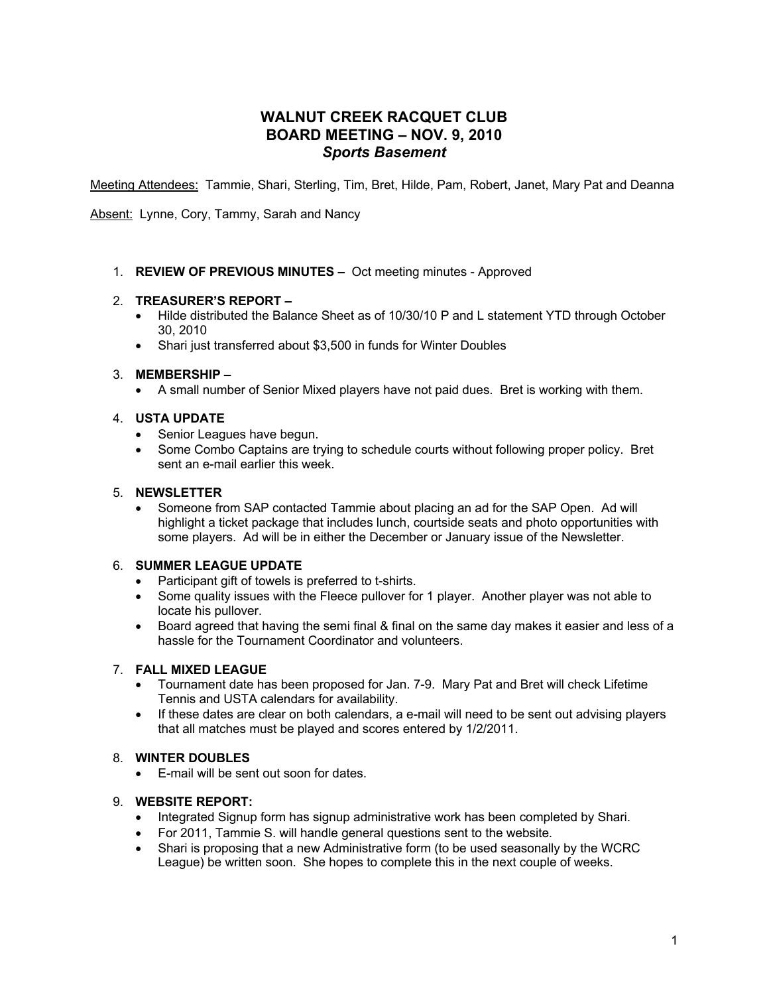# **WALNUT CREEK RACQUET CLUB BOARD MEETING – NOV. 9, 2010** *Sports Basement*

Meeting Attendees: Tammie, Shari, Sterling, Tim, Bret, Hilde, Pam, Robert, Janet, Mary Pat and Deanna

Absent: Lynne, Cory, Tammy, Sarah and Nancy

1. **REVIEW OF PREVIOUS MINUTES –** Oct meeting minutes - Approved

# 2. **TREASURER'S REPORT –**

- Hilde distributed the Balance Sheet as of 10/30/10 P and L statement YTD through October 30, 2010
- Shari just transferred about \$3,500 in funds for Winter Doubles

#### 3. **MEMBERSHIP –**

• A small number of Senior Mixed players have not paid dues. Bret is working with them.

#### 4. **USTA UPDATE**

- Senior Leagues have begun.
- Some Combo Captains are trying to schedule courts without following proper policy. Bret sent an e-mail earlier this week.

# 5. **NEWSLETTER**

• Someone from SAP contacted Tammie about placing an ad for the SAP Open. Ad will highlight a ticket package that includes lunch, courtside seats and photo opportunities with some players. Ad will be in either the December or January issue of the Newsletter.

# 6. **SUMMER LEAGUE UPDATE**

- Participant gift of towels is preferred to t-shirts.
- Some quality issues with the Fleece pullover for 1 player. Another player was not able to locate his pullover.
- Board agreed that having the semi final & final on the same day makes it easier and less of a hassle for the Tournament Coordinator and volunteers.

# 7. **FALL MIXED LEAGUE**

- Tournament date has been proposed for Jan. 7-9. Mary Pat and Bret will check Lifetime Tennis and USTA calendars for availability.
- If these dates are clear on both calendars, a e-mail will need to be sent out advising players that all matches must be played and scores entered by 1/2/2011.

# 8. **WINTER DOUBLES**

• E-mail will be sent out soon for dates.

# 9. **WEBSITE REPORT:**

- Integrated Signup form has signup administrative work has been completed by Shari.
- For 2011, Tammie S. will handle general questions sent to the website.
- Shari is proposing that a new Administrative form (to be used seasonally by the WCRC League) be written soon. She hopes to complete this in the next couple of weeks.